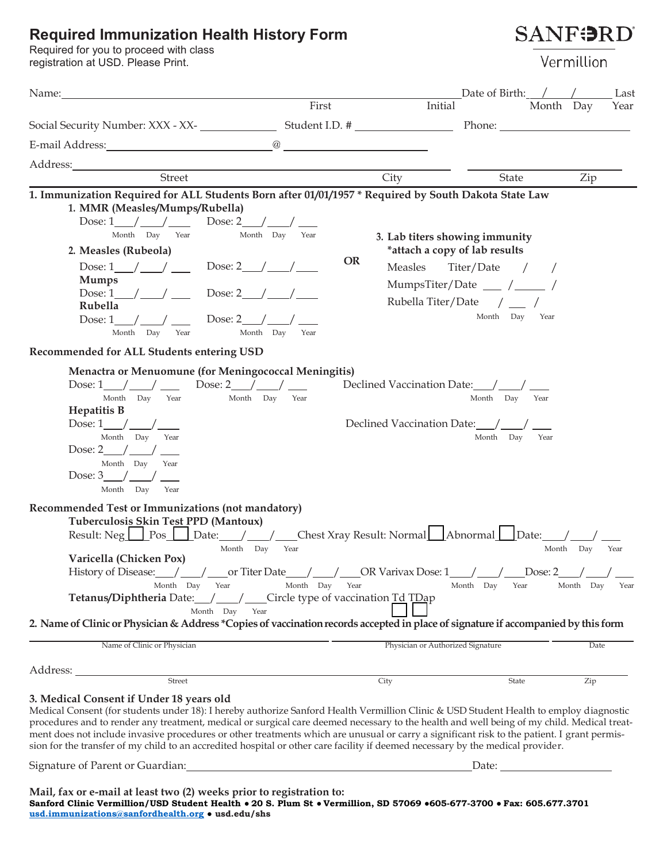#### **Required Immunization Health History Form**

Required for you to proceed with class registration at USD. Please Print.

**SANFORD** 

Vermillion

| Name:                                                                                                                                                                                                                                                                                                                                                                                                                                                                                                                                                                                                                                                                                                                                                                                                                                                |                                               |                                                              | Date of Birth: $/$ /                                                                                                                                            | Last                                   |
|------------------------------------------------------------------------------------------------------------------------------------------------------------------------------------------------------------------------------------------------------------------------------------------------------------------------------------------------------------------------------------------------------------------------------------------------------------------------------------------------------------------------------------------------------------------------------------------------------------------------------------------------------------------------------------------------------------------------------------------------------------------------------------------------------------------------------------------------------|-----------------------------------------------|--------------------------------------------------------------|-----------------------------------------------------------------------------------------------------------------------------------------------------------------|----------------------------------------|
|                                                                                                                                                                                                                                                                                                                                                                                                                                                                                                                                                                                                                                                                                                                                                                                                                                                      | First                                         | Initial                                                      |                                                                                                                                                                 | Month Day<br>Year                      |
|                                                                                                                                                                                                                                                                                                                                                                                                                                                                                                                                                                                                                                                                                                                                                                                                                                                      |                                               |                                                              |                                                                                                                                                                 |                                        |
|                                                                                                                                                                                                                                                                                                                                                                                                                                                                                                                                                                                                                                                                                                                                                                                                                                                      |                                               |                                                              |                                                                                                                                                                 |                                        |
|                                                                                                                                                                                                                                                                                                                                                                                                                                                                                                                                                                                                                                                                                                                                                                                                                                                      |                                               |                                                              |                                                                                                                                                                 |                                        |
| Street                                                                                                                                                                                                                                                                                                                                                                                                                                                                                                                                                                                                                                                                                                                                                                                                                                               |                                               | City                                                         | State                                                                                                                                                           | Zip                                    |
| 1. Immunization Required for ALL Students Born after 01/01/1957 * Required by South Dakota State Law<br>1. MMR (Measles/Mumps/Rubella)<br>Dose: $1 \_ / \_ / \_$ Dose: $2 \_ / \_$<br>Month Day Year<br>2. Measles (Rubeola)<br>Dose: $1 / /$ Dose: $2 / /$<br><b>Mumps</b><br>Dose: $1 / / \sqrt{}$ Dose: $2 / / /$<br>Rubella<br>Dose: $1 / /$<br>Dose: $2 / 1$<br>Month Day Year<br>Recommended for ALL Students entering USD                                                                                                                                                                                                                                                                                                                                                                                                                     | Month Day Year<br><b>OR</b><br>Month Day Year | Measles                                                      | 3. Lab titers showing immunity<br>*attach a copy of lab results<br>Titer/Date / /<br>MumpsTiter/Date ___ /____ /<br>Rubella Titer/Date / __ /<br>Month Day Year |                                        |
| Menactra or Menuomune (for Meningococcal Meningitis)<br>Dose: $1 / /$<br>Dose: $2 / /$<br>Month Day Year<br><b>Hepatitis B</b><br>Dose: $1 / /$<br>Month Day Year<br>Dose: $2 / /$<br>Month Day<br>Year<br>Dose: $3 / / /$<br>Month Day<br>Year<br>Recommended Test or Immunizations (not mandatory)<br>Tuberculosis Skin Test PPD (Mantoux)<br>Result: Neg Pos Date: / / Chest Xray Result: Normal Abnormal Date: /<br>Month Day<br>Varicella (Chicken Pox)<br>History of Disease: $\_\_\_\_\_\_\_\_\$ or Titer Date $\_\_\_\_\_\_\_\_\_\_\_\_\_\_\_\_\_\_\_\_\_\_\_\_\_\_\_\_\_\_\_\_$<br>Month Day Year<br>Tetanus/Diphtheria Date: / _/ _/ __ Circle type of vaccination Td TDap<br>Month Day Year                                                                                                                                               | Month Day Year<br>Year<br>Month Day Year      | Declined Vaccination Date: /<br>Declined Vaccination Date: / | Month Day Year<br>Month Day<br>Year<br>Year<br>Month Day                                                                                                        | Month Day<br>Year<br>Month Day<br>Year |
| 2. Name of Clinic or Physician & Address *Copies of vaccination records accepted in place of signature if accompanied by this form                                                                                                                                                                                                                                                                                                                                                                                                                                                                                                                                                                                                                                                                                                                   |                                               |                                                              |                                                                                                                                                                 |                                        |
| Name of Clinic or Physician                                                                                                                                                                                                                                                                                                                                                                                                                                                                                                                                                                                                                                                                                                                                                                                                                          |                                               | Physician or Authorized Signature                            |                                                                                                                                                                 | Date                                   |
| $\begin{minipage}{.4\linewidth} \emph{Street} \end{minipage}$                                                                                                                                                                                                                                                                                                                                                                                                                                                                                                                                                                                                                                                                                                                                                                                        |                                               |                                                              |                                                                                                                                                                 |                                        |
| 3. Medical Consent if Under 18 years old<br>Medical Consent (for students under 18): I hereby authorize Sanford Health Vermillion Clinic & USD Student Health to employ diagnostic<br>procedures and to render any treatment, medical or surgical care deemed necessary to the health and well being of my child. Medical treat-<br>ment does not include invasive procedures or other treatments which are unusual or carry a significant risk to the patient. I grant permis-<br>sion for the transfer of my child to an accredited hospital or other care facility if deemed necessary by the medical provider.<br>Signature of Parent or Guardian: Maria Contractor Contractor Contractor Contractor Contractor Contractor Contractor Contractor Contractor Contractor Contractor Contractor Contractor Contractor Contractor Contractor Contrac |                                               | City                                                         | State                                                                                                                                                           | Zip                                    |

**Mail, fax or e-mail at least two (2) weeks prior to registration to: Sanford Clinic Vermillion/USD Student Health ● 20 S. Plum St ● Vermillion, SD 57069 ●605-677-3700 ● Fax: 605.677.3701 [usd.immunizations@sanfordhealth.org](mailto:usd.immunizations@sanfordhealth.org) ● [usd.edu/shs](http://usd.edu/shs)**